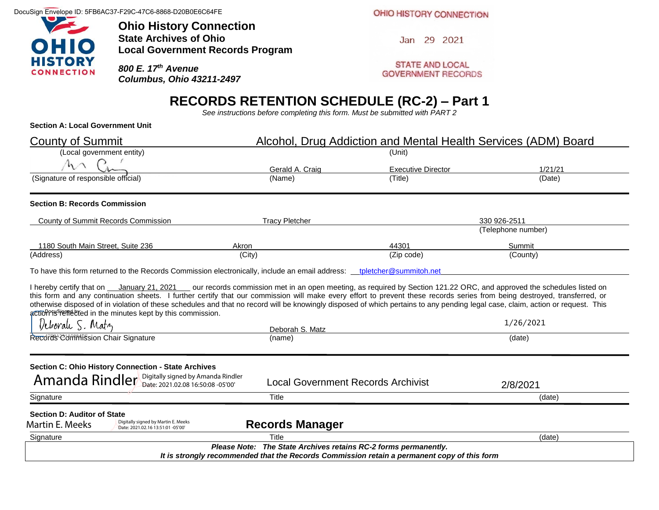DocuSign Envelope ID: 5FB6AC37-F29C-47C6-8868-D20B0E6C64FE



**Ohio History Connection State Archives of Ohio Local Government Records Program**

*800 E. 17th Avenue Columbus, Ohio 43211-2497* OHIO HISTORY CONNECTION

Jan 29 2021

**STATE AND LOCAL GOVERNMENT RECORDS** 

# **RECORDS RETENTION SCHEDULE (RC-2) – Part 1**

*See instructions before completing this form. Must be submitted with PART 2*

#### **Section A: Local Government Unit**

| <b>County of Summit</b>                                                                                                                                                                                                                                                                                                                                                                                                                                                                                                                                                                                             | Alcohol, Drug Addiction and Mental Health Services (ADM) Board                                                                                                 |                           |                    |  |  |  |
|---------------------------------------------------------------------------------------------------------------------------------------------------------------------------------------------------------------------------------------------------------------------------------------------------------------------------------------------------------------------------------------------------------------------------------------------------------------------------------------------------------------------------------------------------------------------------------------------------------------------|----------------------------------------------------------------------------------------------------------------------------------------------------------------|---------------------------|--------------------|--|--|--|
| (Local government entity)                                                                                                                                                                                                                                                                                                                                                                                                                                                                                                                                                                                           |                                                                                                                                                                | (Unit)                    |                    |  |  |  |
| $h \wedge$                                                                                                                                                                                                                                                                                                                                                                                                                                                                                                                                                                                                          | Gerald A. Craig                                                                                                                                                | <b>Executive Director</b> | 1/21/21            |  |  |  |
| (Signature of responsible official)                                                                                                                                                                                                                                                                                                                                                                                                                                                                                                                                                                                 | (Name)                                                                                                                                                         | (Title)                   | (Date)             |  |  |  |
| <b>Section B: Records Commission</b>                                                                                                                                                                                                                                                                                                                                                                                                                                                                                                                                                                                |                                                                                                                                                                |                           |                    |  |  |  |
| County of Summit Records Commission                                                                                                                                                                                                                                                                                                                                                                                                                                                                                                                                                                                 | <b>Tracy Pletcher</b>                                                                                                                                          |                           | 330 926-2511       |  |  |  |
|                                                                                                                                                                                                                                                                                                                                                                                                                                                                                                                                                                                                                     |                                                                                                                                                                |                           | (Telephone number) |  |  |  |
| 1180 South Main Street, Suite 236                                                                                                                                                                                                                                                                                                                                                                                                                                                                                                                                                                                   | Akron                                                                                                                                                          | 44301                     | Summit             |  |  |  |
| (Address)                                                                                                                                                                                                                                                                                                                                                                                                                                                                                                                                                                                                           | (City)                                                                                                                                                         | (Zip code)                | (County)           |  |  |  |
| I hereby certify that on <i>January 21, 2021</i> our records commission met in an open meeting, as required by Section 121.22 ORC, and approved the schedules listed on<br>this form and any continuation sheets. I further certify that our commission will make every effort to prevent these records series from being destroyed, transferred, or<br>otherwise disposed of in violation of these schedules and that no record will be knowingly disposed of which pertains to any pending legal case, claim, action or request. This<br>actiol Prissing the minutes kept by this commission.<br>Deborale S. Matz | Deborah S. Matz                                                                                                                                                |                           | 1/26/2021          |  |  |  |
| Recordes Commitsion Chair Signature                                                                                                                                                                                                                                                                                                                                                                                                                                                                                                                                                                                 | (name)                                                                                                                                                         |                           | (date)             |  |  |  |
| Section C: Ohio History Connection - State Archives<br>Amanda Rindler Digitally signed by Amanda Rindler                                                                                                                                                                                                                                                                                                                                                                                                                                                                                                            | <b>Local Government Records Archivist</b>                                                                                                                      |                           | 2/8/2021           |  |  |  |
| Signature                                                                                                                                                                                                                                                                                                                                                                                                                                                                                                                                                                                                           | Title                                                                                                                                                          |                           | (date)             |  |  |  |
| Section D: Auditor of State<br>Digitally signed by Martin E. Meeks<br>Martin E. Meeks<br>Date: 2021.02.16 13:51:01 -05'00'                                                                                                                                                                                                                                                                                                                                                                                                                                                                                          | <b>Records Manager</b>                                                                                                                                         |                           |                    |  |  |  |
| Signature                                                                                                                                                                                                                                                                                                                                                                                                                                                                                                                                                                                                           | Title                                                                                                                                                          |                           | (date)             |  |  |  |
|                                                                                                                                                                                                                                                                                                                                                                                                                                                                                                                                                                                                                     | Please Note: The State Archives retains RC-2 forms permanently.<br>It is strongly recommended that the Records Commission retain a permanent copy of this form |                           |                    |  |  |  |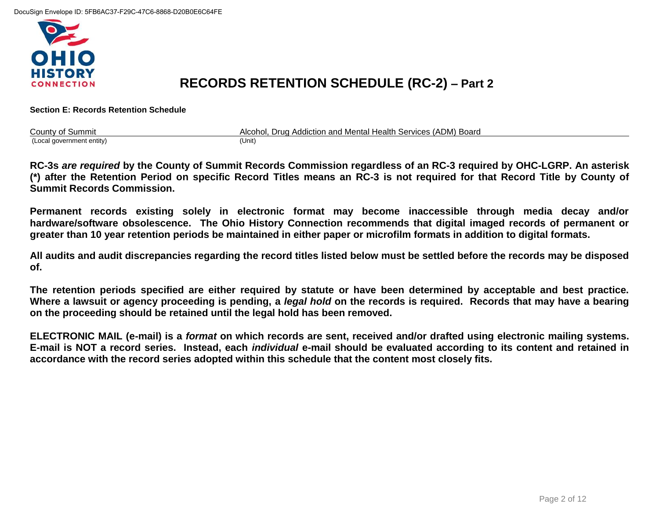

## **RECORDS RETENTION SCHEDULE (RC-2) – Part 2**

**Section E: Records Retention Schedule**

| <b>County of Summit</b>   | Alcohol, Drug Addiction and Mental Health Services (ADM) Board |
|---------------------------|----------------------------------------------------------------|
| (Local government entity) | (Unit)                                                         |

**RC-3s** *are required* **by the County of Summit Records Commission regardless of an RC-3 required by OHC-LGRP. An asterisk (\*) after the Retention Period on specific Record Titles means an RC-3 is not required for that Record Title by County of Summit Records Commission.**

**Permanent records existing solely in electronic format may become inaccessible through media decay and/or hardware/software obsolescence. The Ohio History Connection recommends that digital imaged records of permanent or greater than 10 year retention periods be maintained in either paper or microfilm formats in addition to digital formats.** 

**All audits and audit discrepancies regarding the record titles listed below must be settled before the records may be disposed of.** 

**The retention periods specified are either required by statute or have been determined by acceptable and best practice. Where a lawsuit or agency proceeding is pending, a** *legal hold* **on the records is required. Records that may have a bearing on the proceeding should be retained until the legal hold has been removed.** 

**ELECTRONIC MAIL (e-mail) is a** *format* **on which records are sent, received and/or drafted using electronic mailing systems. E-mail is NOT a record series. Instead, each** *individual* **e-mail should be evaluated according to its content and retained in accordance with the record series adopted within this schedule that the content most closely fits.**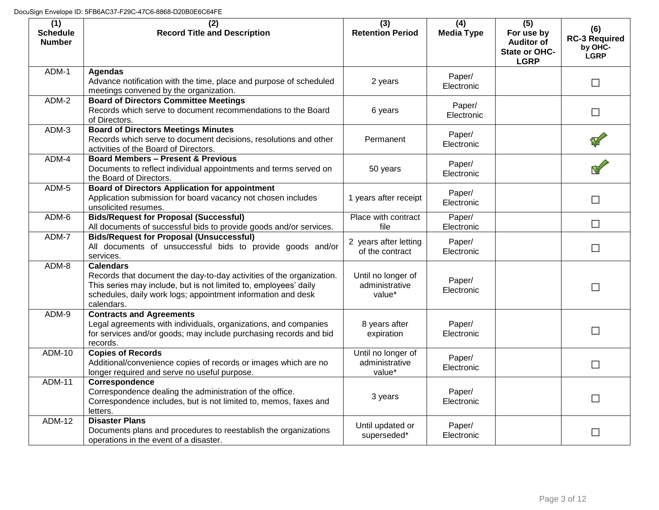| (1)<br><b>Schedule</b><br><b>Number</b> | (2)<br><b>Record Title and Description</b>                                                                                                                                                                                                 | (3)<br><b>Retention Period</b>                 | (4)<br><b>Media Type</b> | (5)<br>For use by<br><b>Auditor of</b><br>State or OHC-<br><b>LGRP</b> | (6)<br><b>RC-3 Required</b><br>by OHC-<br><b>LGRP</b> |
|-----------------------------------------|--------------------------------------------------------------------------------------------------------------------------------------------------------------------------------------------------------------------------------------------|------------------------------------------------|--------------------------|------------------------------------------------------------------------|-------------------------------------------------------|
| ADM-1                                   | <b>Agendas</b><br>Advance notification with the time, place and purpose of scheduled<br>meetings convened by the organization.                                                                                                             | 2 years                                        | Paper/<br>Electronic     |                                                                        | $\Box$                                                |
| ADM-2                                   | <b>Board of Directors Committee Meetings</b><br>Records which serve to document recommendations to the Board<br>of Directors.                                                                                                              | 6 years                                        | Paper/<br>Electronic     |                                                                        | $\Box$                                                |
| ADM-3                                   | <b>Board of Directors Meetings Minutes</b><br>Records which serve to document decisions, resolutions and other<br>activities of the Board of Directors.                                                                                    | Permanent                                      | Paper/<br>Electronic     |                                                                        |                                                       |
| ADM-4                                   | <b>Board Members - Present &amp; Previous</b><br>Documents to reflect individual appointments and terms served on<br>the Board of Directors.                                                                                               | 50 years                                       | Paper/<br>Electronic     |                                                                        |                                                       |
| ADM-5                                   | <b>Board of Directors Application for appointment</b><br>Application submission for board vacancy not chosen includes<br>unsolicited resumes.                                                                                              | 1 years after receipt                          | Paper/<br>Electronic     |                                                                        | $\Box$                                                |
| ADM-6                                   | <b>Bids/Request for Proposal (Successful)</b><br>All documents of successful bids to provide goods and/or services.                                                                                                                        | Place with contract<br>file                    | Paper/<br>Electronic     |                                                                        | $\Box$                                                |
| ADM-7                                   | <b>Bids/Request for Proposal (Unsuccessful)</b><br>All documents of unsuccessful bids to provide goods and/or<br>services.                                                                                                                 | 2 years after letting<br>of the contract       | Paper/<br>Electronic     |                                                                        | $\Box$                                                |
| ADM-8                                   | <b>Calendars</b><br>Records that document the day-to-day activities of the organization.<br>This series may include, but is not limited to, employees' daily<br>schedules, daily work logs; appointment information and desk<br>calendars. | Until no longer of<br>administrative<br>value* | Paper/<br>Electronic     |                                                                        | $\Box$                                                |
| ADM-9                                   | <b>Contracts and Agreements</b><br>Legal agreements with individuals, organizations, and companies<br>for services and/or goods; may include purchasing records and bid<br>records.                                                        | 8 years after<br>expiration                    | Paper/<br>Electronic     |                                                                        | $\Box$                                                |
| <b>ADM-10</b>                           | <b>Copies of Records</b><br>Additional/convenience copies of records or images which are no<br>longer required and serve no useful purpose.                                                                                                | Until no longer of<br>administrative<br>value* | Paper/<br>Electronic     |                                                                        | $\Box$                                                |
| <b>ADM-11</b>                           | Correspondence<br>Correspondence dealing the administration of the office.<br>Correspondence includes, but is not limited to, memos, faxes and<br>letters.                                                                                 | 3 years                                        | Paper/<br>Electronic     |                                                                        | $\Box$                                                |
| <b>ADM-12</b>                           | <b>Disaster Plans</b><br>Documents plans and procedures to reestablish the organizations<br>operations in the event of a disaster.                                                                                                         | Until updated or<br>superseded*                | Paper/<br>Electronic     |                                                                        | $\mathcal{L}_{\mathcal{A}}$                           |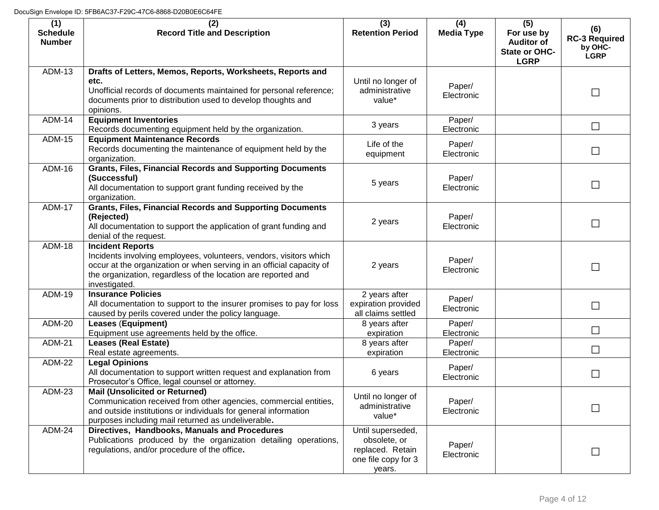| (1)<br><b>Schedule</b><br><b>Number</b> | (2)<br><b>Record Title and Description</b>                                                                                                                                                                                                              | (3)<br><b>Retention Period</b>                                                         | (4)<br><b>Media Type</b> | (5)<br>For use by<br><b>Auditor of</b><br>State or OHC-<br><b>LGRP</b> | (6)<br><b>RC-3 Required</b><br>by OHC-<br><b>LGRP</b> |
|-----------------------------------------|---------------------------------------------------------------------------------------------------------------------------------------------------------------------------------------------------------------------------------------------------------|----------------------------------------------------------------------------------------|--------------------------|------------------------------------------------------------------------|-------------------------------------------------------|
| <b>ADM-13</b>                           | Drafts of Letters, Memos, Reports, Worksheets, Reports and<br>etc.<br>Unofficial records of documents maintained for personal reference;<br>documents prior to distribution used to develop thoughts and<br>opinions.                                   | Until no longer of<br>administrative<br>value*                                         | Paper/<br>Electronic     |                                                                        | $\mathbf{I}$                                          |
| <b>ADM-14</b>                           | <b>Equipment Inventories</b><br>Records documenting equipment held by the organization.                                                                                                                                                                 | 3 years                                                                                | Paper/<br>Electronic     |                                                                        | $\Box$                                                |
| <b>ADM-15</b>                           | <b>Equipment Maintenance Records</b><br>Records documenting the maintenance of equipment held by the<br>organization.                                                                                                                                   | Life of the<br>equipment                                                               | Paper/<br>Electronic     |                                                                        |                                                       |
| ADM-16                                  | <b>Grants, Files, Financial Records and Supporting Documents</b><br>(Successful)<br>All documentation to support grant funding received by the<br>organization.                                                                                         | 5 years                                                                                | Paper/<br>Electronic     |                                                                        | $\Box$                                                |
| <b>ADM-17</b>                           | <b>Grants, Files, Financial Records and Supporting Documents</b><br>(Rejected)<br>All documentation to support the application of grant funding and<br>denial of the request.                                                                           | 2 years                                                                                | Paper/<br>Electronic     |                                                                        |                                                       |
| <b>ADM-18</b>                           | <b>Incident Reports</b><br>Incidents involving employees, volunteers, vendors, visitors which<br>occur at the organization or when serving in an official capacity of<br>the organization, regardless of the location are reported and<br>investigated. | 2 years                                                                                | Paper/<br>Electronic     |                                                                        | $\mathcal{L}_{\mathcal{A}}$                           |
| <b>ADM-19</b>                           | <b>Insurance Policies</b><br>All documentation to support to the insurer promises to pay for loss<br>caused by perils covered under the policy language.                                                                                                | 2 years after<br>expiration provided<br>all claims settled                             | Paper/<br>Electronic     |                                                                        |                                                       |
| <b>ADM-20</b>                           | <b>Leases (Equipment)</b><br>Equipment use agreements held by the office.                                                                                                                                                                               | 8 years after<br>expiration                                                            | Paper/<br>Electronic     |                                                                        | $\Box$                                                |
| <b>ADM-21</b>                           | <b>Leases (Real Estate)</b><br>Real estate agreements.                                                                                                                                                                                                  | 8 years after<br>expiration                                                            | Paper/<br>Electronic     |                                                                        | П                                                     |
| <b>ADM-22</b>                           | <b>Legal Opinions</b><br>All documentation to support written request and explanation from<br>Prosecutor's Office, legal counsel or attorney.                                                                                                           | 6 years                                                                                | Paper/<br>Electronic     |                                                                        | $\overline{\phantom{a}}$                              |
| ADM-23                                  | <b>Mail (Unsolicited or Returned)</b><br>Communication received from other agencies, commercial entities,<br>and outside institutions or individuals for general information<br>purposes including mail returned as undeliverable.                      | Until no longer of<br>administrative<br>value*                                         | Paper/<br>Electronic     |                                                                        |                                                       |
| <b>ADM-24</b>                           | Directives, Handbooks, Manuals and Procedures<br>Publications produced by the organization detailing operations,<br>regulations, and/or procedure of the office.                                                                                        | Until superseded,<br>obsolete, or<br>replaced. Retain<br>one file copy for 3<br>years. | Paper/<br>Electronic     |                                                                        |                                                       |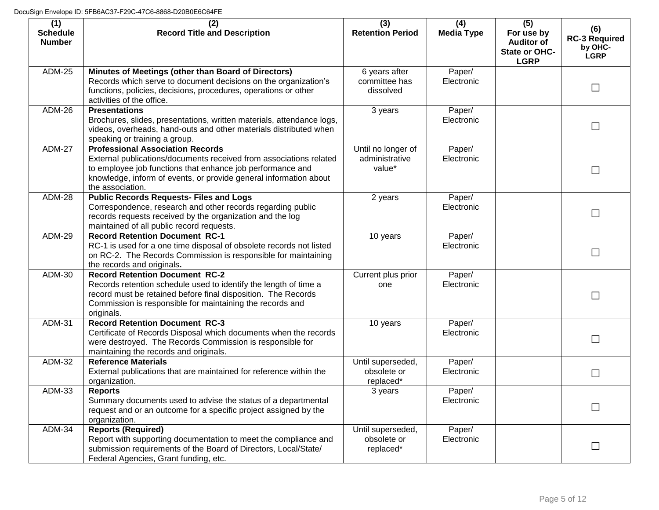| (1)<br><b>Schedule</b><br><b>Number</b> | (2)<br><b>Record Title and Description</b>                                                                                                                                                                                                                           | (3)<br><b>Retention Period</b>                 | (4)<br><b>Media Type</b> | (5)<br>For use by<br><b>Auditor of</b><br>State or OHC-<br><b>LGRP</b> | (6)<br><b>RC-3 Required</b><br>by OHC-<br><b>LGRP</b> |
|-----------------------------------------|----------------------------------------------------------------------------------------------------------------------------------------------------------------------------------------------------------------------------------------------------------------------|------------------------------------------------|--------------------------|------------------------------------------------------------------------|-------------------------------------------------------|
| <b>ADM-25</b>                           | Minutes of Meetings (other than Board of Directors)<br>Records which serve to document decisions on the organization's<br>functions, policies, decisions, procedures, operations or other<br>activities of the office.                                               | 6 years after<br>committee has<br>dissolved    | Paper/<br>Electronic     |                                                                        | $\mathbb{R}^n$                                        |
| <b>ADM-26</b>                           | <b>Presentations</b><br>Brochures, slides, presentations, written materials, attendance logs,<br>videos, overheads, hand-outs and other materials distributed when<br>speaking or training a group.                                                                  | 3 years                                        | Paper/<br>Electronic     |                                                                        |                                                       |
| <b>ADM-27</b>                           | <b>Professional Association Records</b><br>External publications/documents received from associations related<br>to employee job functions that enhance job performance and<br>knowledge, inform of events, or provide general information about<br>the association. | Until no longer of<br>administrative<br>value* | Paper/<br>Electronic     |                                                                        | $\Box$                                                |
| <b>ADM-28</b>                           | <b>Public Records Requests- Files and Logs</b><br>Correspondence, research and other records regarding public<br>records requests received by the organization and the log<br>maintained of all public record requests.                                              | 2 years                                        | Paper/<br>Electronic     |                                                                        |                                                       |
| <b>ADM-29</b>                           | <b>Record Retention Document RC-1</b><br>RC-1 is used for a one time disposal of obsolete records not listed<br>on RC-2. The Records Commission is responsible for maintaining<br>the records and originals.                                                         | 10 years                                       | Paper/<br>Electronic     |                                                                        | $\mathbb{R}^n$                                        |
| ADM-30                                  | <b>Record Retention Document RC-2</b><br>Records retention schedule used to identify the length of time a<br>record must be retained before final disposition. The Records<br>Commission is responsible for maintaining the records and<br>originals.                | Current plus prior<br>one                      | Paper/<br>Electronic     |                                                                        |                                                       |
| <b>ADM-31</b>                           | <b>Record Retention Document RC-3</b><br>Certificate of Records Disposal which documents when the records<br>were destroyed. The Records Commission is responsible for<br>maintaining the records and originals.                                                     | 10 years                                       | Paper/<br>Electronic     |                                                                        | $\mathsf{L}$                                          |
| ADM-32                                  | <b>Reference Materials</b><br>External publications that are maintained for reference within the<br>organization.                                                                                                                                                    | Until superseded,<br>obsolete or<br>replaced*  | Paper/<br>Electronic     |                                                                        |                                                       |
| <b>ADM-33</b>                           | <b>Reports</b><br>Summary documents used to advise the status of a departmental<br>request and or an outcome for a specific project assigned by the<br>organization.                                                                                                 | 3 years                                        | Paper/<br>Electronic     |                                                                        | $\Box$                                                |
| <b>ADM-34</b>                           | <b>Reports (Required)</b><br>Report with supporting documentation to meet the compliance and<br>submission requirements of the Board of Directors, Local/State/<br>Federal Agencies, Grant funding, etc.                                                             | Until superseded,<br>obsolete or<br>replaced*  | Paper/<br>Electronic     |                                                                        |                                                       |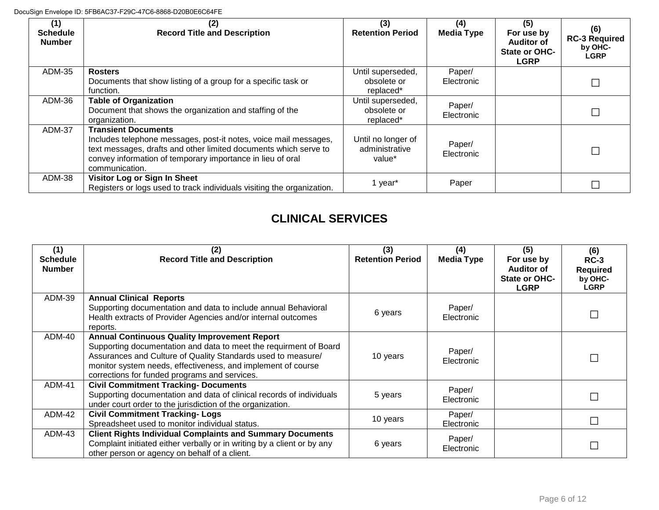| (1)<br><b>Schedule</b><br><b>Number</b> | (2)<br><b>Record Title and Description</b>                                                                                                                                                                                                         | (3)<br><b>Retention Period</b>                 | (4)<br><b>Media Type</b> | (5)<br>For use by<br><b>Auditor of</b><br>State or OHC-<br><b>LGRP</b> | (6)<br><b>RC-3 Required</b><br>by OHC-<br><b>LGRP</b> |
|-----------------------------------------|----------------------------------------------------------------------------------------------------------------------------------------------------------------------------------------------------------------------------------------------------|------------------------------------------------|--------------------------|------------------------------------------------------------------------|-------------------------------------------------------|
| <b>ADM-35</b>                           | <b>Rosters</b><br>Documents that show listing of a group for a specific task or<br>function.                                                                                                                                                       | Until superseded,<br>obsolete or<br>replaced*  | Paper/<br>Electronic     |                                                                        |                                                       |
| ADM-36                                  | <b>Table of Organization</b><br>Document that shows the organization and staffing of the<br>organization.                                                                                                                                          | Until superseded,<br>obsolete or<br>replaced*  | Paper/<br>Electronic     |                                                                        |                                                       |
| ADM-37                                  | <b>Transient Documents</b><br>Includes telephone messages, post-it notes, voice mail messages,<br>text messages, drafts and other limited documents which serve to<br>convey information of temporary importance in lieu of oral<br>communication. | Until no longer of<br>administrative<br>value* | Paper/<br>Electronic     |                                                                        |                                                       |
| ADM-38                                  | Visitor Log or Sign In Sheet<br>Registers or logs used to track individuals visiting the organization.                                                                                                                                             | 1 year*                                        | Paper                    |                                                                        |                                                       |

#### **CLINICAL SERVICES**

| (1)<br><b>Schedule</b> | <b>Record Title and Description</b>                                                                                                                                                                                                                                                                       | (3)<br><b>Retention Period</b> | (4)<br><b>Media Type</b> | (5)<br>For use by                                        | (6)<br>$RC-3$                             |
|------------------------|-----------------------------------------------------------------------------------------------------------------------------------------------------------------------------------------------------------------------------------------------------------------------------------------------------------|--------------------------------|--------------------------|----------------------------------------------------------|-------------------------------------------|
| <b>Number</b>          |                                                                                                                                                                                                                                                                                                           |                                |                          | <b>Auditor of</b><br><b>State or OHC-</b><br><b>LGRP</b> | <b>Required</b><br>by OHC-<br><b>LGRP</b> |
| ADM-39                 | <b>Annual Clinical Reports</b><br>Supporting documentation and data to include annual Behavioral<br>Health extracts of Provider Agencies and/or internal outcomes<br>reports.                                                                                                                             | 6 years                        | Paper/<br>Electronic     |                                                          |                                           |
| ADM-40                 | <b>Annual Continuous Quality Improvement Report</b><br>Supporting documentation and data to meet the requirment of Board<br>Assurances and Culture of Quality Standards used to measure/<br>monitor system needs, effectiveness, and implement of course<br>corrections for funded programs and services. | 10 years                       | Paper/<br>Electronic     |                                                          |                                           |
| ADM-41                 | <b>Civil Commitment Tracking- Documents</b><br>Supporting documentation and data of clinical records of individuals<br>under court order to the jurisdiction of the organization.                                                                                                                         | 5 years                        | Paper/<br>Electronic     |                                                          |                                           |
| ADM-42                 | <b>Civil Commitment Tracking-Logs</b><br>Spreadsheet used to monitor individual status.                                                                                                                                                                                                                   | 10 years                       | Paper/<br>Electronic     |                                                          |                                           |
| ADM-43                 | <b>Client Rights Individual Complaints and Summary Documents</b><br>Complaint initiated either verbally or in writing by a client or by any<br>other person or agency on behalf of a client.                                                                                                              | 6 years                        | Paper/<br>Electronic     |                                                          |                                           |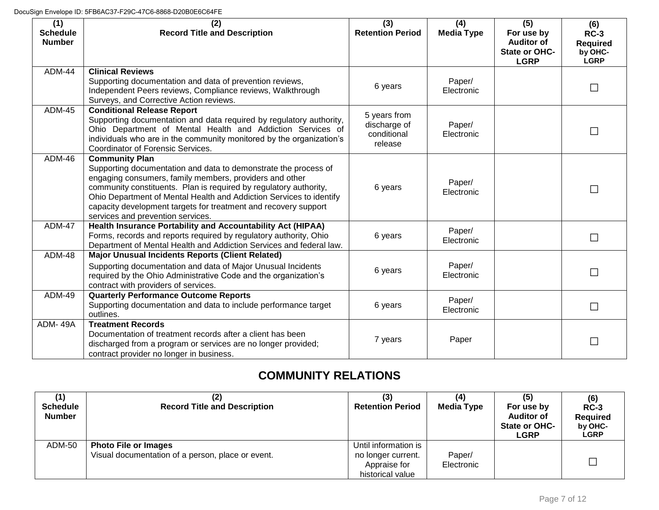| (1)<br><b>Schedule</b><br><b>Number</b> | (2)<br><b>Record Title and Description</b>                                                                                                                                                                                                                                                                                                                                                              | (3)<br><b>Retention Period</b>                         | (4)<br><b>Media Type</b> | (5)<br>For use by<br><b>Auditor of</b><br><b>State or OHC-</b><br><b>LGRP</b> | (6)<br>$RC-3$<br><b>Required</b><br>by OHC-<br><b>LGRP</b> |
|-----------------------------------------|---------------------------------------------------------------------------------------------------------------------------------------------------------------------------------------------------------------------------------------------------------------------------------------------------------------------------------------------------------------------------------------------------------|--------------------------------------------------------|--------------------------|-------------------------------------------------------------------------------|------------------------------------------------------------|
| <b>ADM-44</b>                           | <b>Clinical Reviews</b><br>Supporting documentation and data of prevention reviews,<br>Independent Peers reviews, Compliance reviews, Walkthrough<br>Surveys, and Corrective Action reviews.                                                                                                                                                                                                            | 6 years                                                | Paper/<br>Electronic     |                                                                               |                                                            |
| <b>ADM-45</b>                           | <b>Conditional Release Report</b><br>Supporting documentation and data required by regulatory authority,<br>Ohio Department of Mental Health and Addiction Services of<br>individuals who are in the community monitored by the organization's<br>Coordinator of Forensic Services.                                                                                                                     | 5 years from<br>discharge of<br>conditional<br>release | Paper/<br>Electronic     |                                                                               |                                                            |
| <b>ADM-46</b>                           | <b>Community Plan</b><br>Supporting documentation and data to demonstrate the process of<br>engaging consumers, family members, providers and other<br>community constituents. Plan is required by regulatory authority,<br>Ohio Department of Mental Health and Addiction Services to identify<br>capacity development targets for treatment and recovery support<br>services and prevention services. | 6 years                                                | Paper/<br>Electronic     |                                                                               |                                                            |
| <b>ADM-47</b>                           | Health Insurance Portability and Accountability Act (HIPAA)<br>Forms, records and reports required by regulatory authority, Ohio<br>Department of Mental Health and Addiction Services and federal law.                                                                                                                                                                                                 | 6 years                                                | Paper/<br>Electronic     |                                                                               | $\mathbf{I}$                                               |
| <b>ADM-48</b>                           | <b>Major Unusual Incidents Reports (Client Related)</b><br>Supporting documentation and data of Major Unusual Incidents<br>required by the Ohio Administrative Code and the organization's<br>contract with providers of services.                                                                                                                                                                      | 6 years                                                | Paper/<br>Electronic     |                                                                               | $\mathbf{I}$                                               |
| <b>ADM-49</b>                           | <b>Quarterly Performance Outcome Reports</b><br>Supporting documentation and data to include performance target<br>outlines.                                                                                                                                                                                                                                                                            | 6 years                                                | Paper/<br>Electronic     |                                                                               | $\mathbf{I}$                                               |
| ADM-49A                                 | <b>Treatment Records</b><br>Documentation of treatment records after a client has been<br>discharged from a program or services are no longer provided;<br>contract provider no longer in business.                                                                                                                                                                                                     | 7 years                                                | Paper                    |                                                                               |                                                            |

### **COMMUNITY RELATIONS**

| <b>Schedule</b><br><b>Number</b> | <b>Record Title and Description</b>                                              | <b>Retention Period</b>                                                        | <b>Media Type</b>    | (5)<br>For use by<br><b>Auditor of</b><br>State or OHC-<br><b>LGRP</b> | (6)<br>$RC-3$<br><b>Required</b><br>by OHC-<br><b>LGRP</b> |
|----------------------------------|----------------------------------------------------------------------------------|--------------------------------------------------------------------------------|----------------------|------------------------------------------------------------------------|------------------------------------------------------------|
| ADM-50                           | <b>Photo File or Images</b><br>Visual documentation of a person, place or event. | Until information is<br>no longer current.<br>Appraise for<br>historical value | Paper/<br>Electronic |                                                                        |                                                            |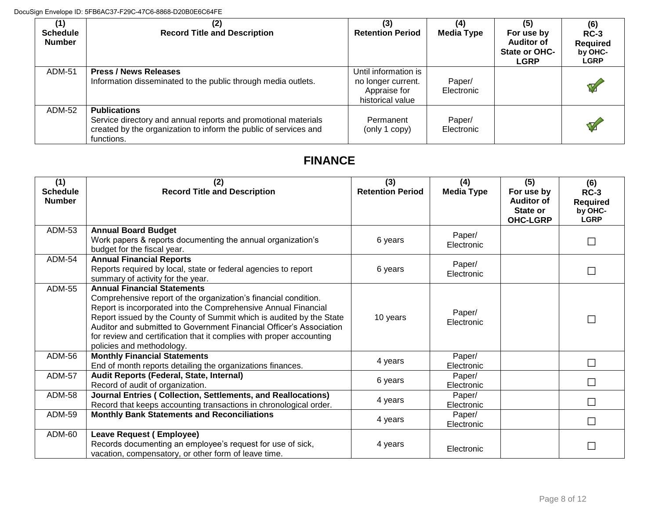| (1)<br><b>Schedule</b><br><b>Number</b> | <b>Record Title and Description</b>                                                                                                                                     | (3)<br><b>Retention Period</b>                                                 | (4)<br><b>Media Type</b> | (5)<br>For use by<br><b>Auditor of</b><br><b>State or OHC-</b><br><b>LGRP</b> | (6)<br>$RC-3$<br><b>Required</b><br>by OHC-<br><b>LGRP</b> |
|-----------------------------------------|-------------------------------------------------------------------------------------------------------------------------------------------------------------------------|--------------------------------------------------------------------------------|--------------------------|-------------------------------------------------------------------------------|------------------------------------------------------------|
| ADM-51                                  | <b>Press / News Releases</b><br>Information disseminated to the public through media outlets.                                                                           | Until information is<br>no longer current.<br>Appraise for<br>historical value | Paper/<br>Electronic     |                                                                               | V                                                          |
| ADM-52                                  | <b>Publications</b><br>Service directory and annual reports and promotional materials<br>created by the organization to inform the public of services and<br>functions. | Permanent<br>(only 1 copy)                                                     | Paper/<br>Electronic     |                                                                               | V                                                          |

### **FINANCE**

| (1)<br><b>Schedule</b><br><b>Number</b> | (2)<br><b>Record Title and Description</b>                                                                                                                                                                                                                                                                                                                                                                                 | (3)<br><b>Retention Period</b> | (4)<br><b>Media Type</b> | (5)<br>For use by<br><b>Auditor of</b><br>State or<br><b>OHC-LGRP</b> | (6)<br>$RC-3$<br><b>Required</b><br>by OHC-<br><b>LGRP</b> |
|-----------------------------------------|----------------------------------------------------------------------------------------------------------------------------------------------------------------------------------------------------------------------------------------------------------------------------------------------------------------------------------------------------------------------------------------------------------------------------|--------------------------------|--------------------------|-----------------------------------------------------------------------|------------------------------------------------------------|
| ADM-53                                  | <b>Annual Board Budget</b><br>Work papers & reports documenting the annual organization's<br>budget for the fiscal year.                                                                                                                                                                                                                                                                                                   | 6 years                        | Paper/<br>Electronic     |                                                                       |                                                            |
| ADM-54                                  | <b>Annual Financial Reports</b><br>Reports required by local, state or federal agencies to report<br>summary of activity for the year.                                                                                                                                                                                                                                                                                     | 6 years                        | Paper/<br>Electronic     |                                                                       |                                                            |
| <b>ADM-55</b>                           | <b>Annual Financial Statements</b><br>Comprehensive report of the organization's financial condition.<br>Report is incorporated into the Comprehensive Annual Financial<br>Report issued by the County of Summit which is audited by the State<br>Auditor and submitted to Government Financial Officer's Association<br>for review and certification that it complies with proper accounting<br>policies and methodology. | 10 years                       | Paper/<br>Electronic     |                                                                       | Г                                                          |
| ADM-56                                  | <b>Monthly Financial Statements</b><br>End of month reports detailing the organizations finances.                                                                                                                                                                                                                                                                                                                          | 4 years                        | Paper/<br>Electronic     |                                                                       | $\mathbf{I}$                                               |
| <b>ADM-57</b>                           | Audit Reports (Federal, State, Internal)<br>Record of audit of organization.                                                                                                                                                                                                                                                                                                                                               | 6 years                        | Paper/<br>Electronic     |                                                                       |                                                            |
| <b>ADM-58</b>                           | Journal Entries (Collection, Settlements, and Reallocations)<br>Record that keeps accounting transactions in chronological order.                                                                                                                                                                                                                                                                                          | 4 years                        | Paper/<br>Electronic     |                                                                       | $\mathcal{L}$                                              |
| <b>ADM-59</b>                           | <b>Monthly Bank Statements and Reconciliations</b>                                                                                                                                                                                                                                                                                                                                                                         | 4 years                        | Paper/<br>Electronic     |                                                                       | П                                                          |
| ADM-60                                  | Leave Request (Employee)<br>Records documenting an employee's request for use of sick,<br>vacation, compensatory, or other form of leave time.                                                                                                                                                                                                                                                                             | 4 years                        | Electronic               |                                                                       |                                                            |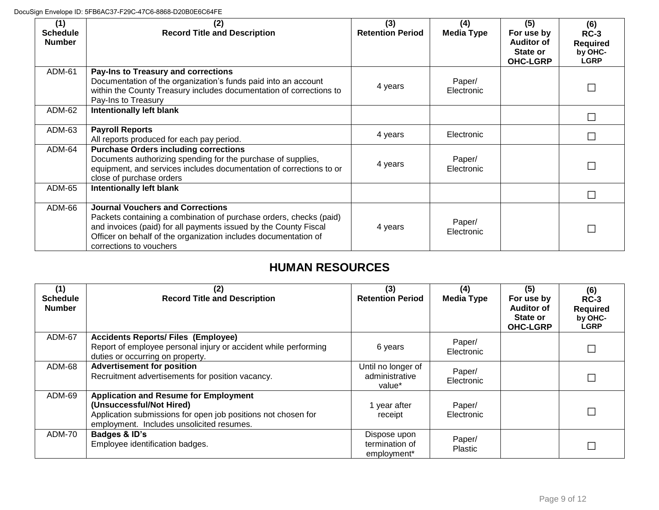| (1)<br><b>Schedule</b><br><b>Number</b> | (2)<br><b>Record Title and Description</b>                                                                                                                                                                                                                                      | (3)<br><b>Retention Period</b> | (4)<br><b>Media Type</b> | (5)<br>For use by<br><b>Auditor of</b><br>State or<br><b>OHC-LGRP</b> | (6)<br>$RC-3$<br><b>Required</b><br>by OHC-<br><b>LGRP</b> |
|-----------------------------------------|---------------------------------------------------------------------------------------------------------------------------------------------------------------------------------------------------------------------------------------------------------------------------------|--------------------------------|--------------------------|-----------------------------------------------------------------------|------------------------------------------------------------|
| ADM-61                                  | Pay-Ins to Treasury and corrections<br>Documentation of the organization's funds paid into an account<br>within the County Treasury includes documentation of corrections to<br>Pay-Ins to Treasury                                                                             | 4 years                        | Paper/<br>Electronic     |                                                                       |                                                            |
| ADM-62                                  | <b>Intentionally left blank</b>                                                                                                                                                                                                                                                 |                                |                          |                                                                       |                                                            |
| ADM-63                                  | <b>Payroll Reports</b><br>All reports produced for each pay period.                                                                                                                                                                                                             | 4 years                        | Electronic               |                                                                       |                                                            |
| ADM-64                                  | <b>Purchase Orders including corrections</b><br>Documents authorizing spending for the purchase of supplies,<br>equipment, and services includes documentation of corrections to or<br>close of purchase orders                                                                 | 4 years                        | Paper/<br>Electronic     |                                                                       |                                                            |
| ADM-65                                  | Intentionally left blank                                                                                                                                                                                                                                                        |                                |                          |                                                                       |                                                            |
| ADM-66                                  | <b>Journal Vouchers and Corrections</b><br>Packets containing a combination of purchase orders, checks (paid)<br>and invoices (paid) for all payments issued by the County Fiscal<br>Officer on behalf of the organization includes documentation of<br>corrections to vouchers | 4 years                        | Paper/<br>Electronic     |                                                                       |                                                            |

#### **HUMAN RESOURCES**

| (1)<br><b>Schedule</b><br><b>Number</b> | (2)<br><b>Record Title and Description</b>                                                                                                                                             | (3)<br><b>Retention Period</b>                 | (4)<br><b>Media Type</b> | (5)<br>For use by<br><b>Auditor of</b><br>State or<br><b>OHC-LGRP</b> | (6)<br>$RC-3$<br><b>Required</b><br>by OHC-<br><b>LGRP</b> |
|-----------------------------------------|----------------------------------------------------------------------------------------------------------------------------------------------------------------------------------------|------------------------------------------------|--------------------------|-----------------------------------------------------------------------|------------------------------------------------------------|
| ADM-67                                  | <b>Accidents Reports/ Files (Employee)</b><br>Report of employee personal injury or accident while performing<br>duties or occurring on property.                                      | 6 years                                        | Paper/<br>Electronic     |                                                                       |                                                            |
| ADM-68                                  | <b>Advertisement for position</b><br>Recruitment advertisements for position vacancy.                                                                                                  | Until no longer of<br>administrative<br>value* | Paper/<br>Electronic     |                                                                       |                                                            |
| ADM-69                                  | <b>Application and Resume for Employment</b><br>(Unsuccessful/Not Hired)<br>Application submissions for open job positions not chosen for<br>employment. Includes unsolicited resumes. | 1 year after<br>receipt                        | Paper/<br>Electronic     |                                                                       |                                                            |
| ADM-70                                  | Badges & ID's<br>Employee identification badges.                                                                                                                                       | Dispose upon<br>termination of<br>employment*  | Paper/<br>Plastic        |                                                                       |                                                            |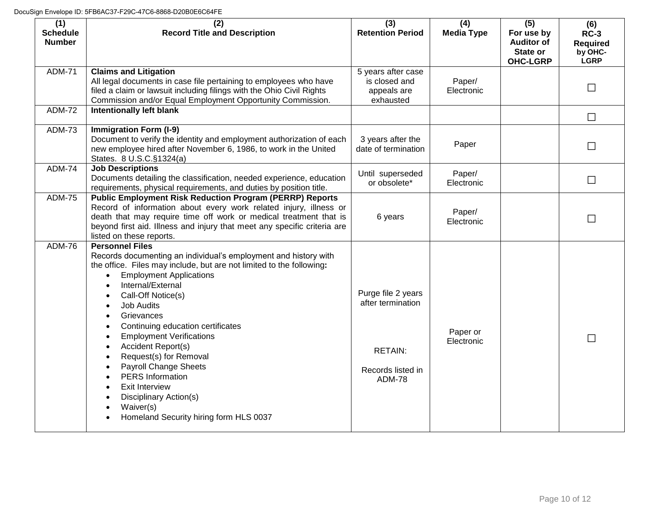| (1)<br><b>Schedule</b><br><b>Number</b> | (2)<br><b>Record Title and Description</b>                                                                                                                                                                                                                                                                                                                                                                                                                                                                                                                                                                                                                                                                                          | (3)<br><b>Retention Period</b>                                                                  | (4)<br><b>Media Type</b> | (5)<br>For use by<br><b>Auditor of</b><br>State or<br><b>OHC-LGRP</b> | (6)<br>$RC-3$<br><b>Required</b><br>by OHC-<br><b>LGRP</b> |
|-----------------------------------------|-------------------------------------------------------------------------------------------------------------------------------------------------------------------------------------------------------------------------------------------------------------------------------------------------------------------------------------------------------------------------------------------------------------------------------------------------------------------------------------------------------------------------------------------------------------------------------------------------------------------------------------------------------------------------------------------------------------------------------------|-------------------------------------------------------------------------------------------------|--------------------------|-----------------------------------------------------------------------|------------------------------------------------------------|
| <b>ADM-71</b>                           | <b>Claims and Litigation</b><br>All legal documents in case file pertaining to employees who have<br>filed a claim or lawsuit including filings with the Ohio Civil Rights<br>Commission and/or Equal Employment Opportunity Commission.                                                                                                                                                                                                                                                                                                                                                                                                                                                                                            | 5 years after case<br>is closed and<br>appeals are<br>exhausted                                 | Paper/<br>Electronic     |                                                                       | $\Box$                                                     |
| <b>ADM-72</b>                           | <b>Intentionally left blank</b>                                                                                                                                                                                                                                                                                                                                                                                                                                                                                                                                                                                                                                                                                                     |                                                                                                 |                          |                                                                       | $\Box$                                                     |
| <b>ADM-73</b>                           | <b>Immigration Form (I-9)</b><br>Document to verify the identity and employment authorization of each<br>new employee hired after November 6, 1986, to work in the United<br>States. 8 U.S.C. §1324(a)                                                                                                                                                                                                                                                                                                                                                                                                                                                                                                                              | 3 years after the<br>date of termination                                                        | Paper                    |                                                                       | $\Box$                                                     |
| <b>ADM-74</b>                           | <b>Job Descriptions</b><br>Documents detailing the classification, needed experience, education<br>requirements, physical requirements, and duties by position title.                                                                                                                                                                                                                                                                                                                                                                                                                                                                                                                                                               | Until superseded<br>or obsolete*                                                                | Paper/<br>Electronic     |                                                                       | $\Box$                                                     |
| <b>ADM-75</b>                           | <b>Public Employment Risk Reduction Program (PERRP) Reports</b><br>Record of information about every work related injury, illness or<br>death that may require time off work or medical treatment that is<br>beyond first aid. Illness and injury that meet any specific criteria are<br>listed on these reports.                                                                                                                                                                                                                                                                                                                                                                                                                   | 6 years                                                                                         | Paper/<br>Electronic     |                                                                       | П                                                          |
| <b>ADM-76</b>                           | <b>Personnel Files</b><br>Records documenting an individual's employment and history with<br>the office. Files may include, but are not limited to the following:<br><b>Employment Applications</b><br>$\bullet$<br>Internal/External<br>$\bullet$<br>Call-Off Notice(s)<br>$\bullet$<br><b>Job Audits</b><br>$\bullet$<br>Grievances<br>$\bullet$<br>Continuing education certificates<br>$\bullet$<br><b>Employment Verifications</b><br>$\bullet$<br>Accident Report(s)<br>$\bullet$<br>Request(s) for Removal<br>$\bullet$<br><b>Payroll Change Sheets</b><br>$\bullet$<br><b>PERS</b> Information<br>$\bullet$<br>Exit Interview<br>Disciplinary Action(s)<br>Waiver(s)<br>$\bullet$<br>Homeland Security hiring form HLS 0037 | Purge file 2 years<br>after termination<br><b>RETAIN:</b><br>Records listed in<br><b>ADM-78</b> | Paper or<br>Electronic   |                                                                       | П                                                          |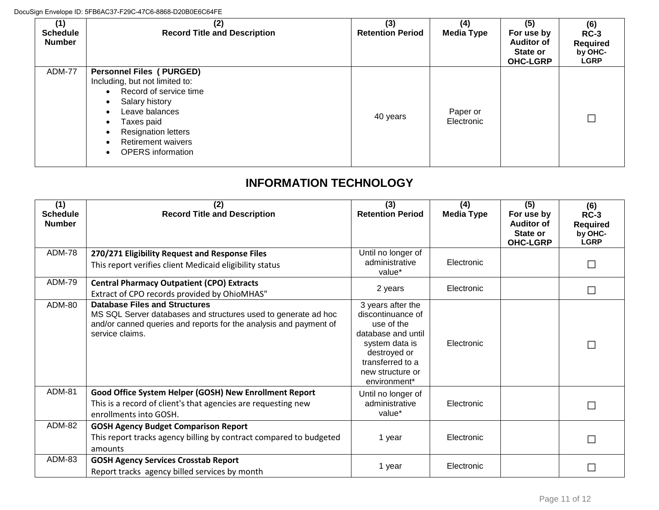| (1)<br><b>Schedule</b><br><b>Number</b> | (2)<br><b>Record Title and Description</b>                                                                                                                                                                                                        | (3)<br><b>Retention Period</b> | (4)<br><b>Media Type</b> | (5)<br>For use by<br><b>Auditor of</b><br>State or<br><b>OHC-LGRP</b> | (6)<br>$RC-3$<br><b>Required</b><br>by OHC-<br><b>LGRP</b> |
|-----------------------------------------|---------------------------------------------------------------------------------------------------------------------------------------------------------------------------------------------------------------------------------------------------|--------------------------------|--------------------------|-----------------------------------------------------------------------|------------------------------------------------------------|
| ADM-77                                  | <b>Personnel Files (PURGED)</b><br>Including, but not limited to:<br>Record of service time<br>$\bullet$<br>Salary history<br>Leave balances<br>Taxes paid<br><b>Resignation letters</b><br><b>Retirement waivers</b><br><b>OPERS</b> information | 40 years                       | Paper or<br>Electronic   |                                                                       |                                                            |

## **INFORMATION TECHNOLOGY**

| (1)<br><b>Schedule</b><br><b>Number</b> | (2)<br><b>Record Title and Description</b>                                                                                                                                                     | (3)<br><b>Retention Period</b>                                                                                                                                                   | (4)<br><b>Media Type</b> | (5)<br>For use by<br><b>Auditor of</b><br>State or<br><b>OHC-LGRP</b> | (6)<br>$RC-3$<br><b>Required</b><br>by OHC-<br><b>LGRP</b> |
|-----------------------------------------|------------------------------------------------------------------------------------------------------------------------------------------------------------------------------------------------|----------------------------------------------------------------------------------------------------------------------------------------------------------------------------------|--------------------------|-----------------------------------------------------------------------|------------------------------------------------------------|
| ADM-78                                  | 270/271 Eligibility Request and Response Files<br>This report verifies client Medicaid eligibility status                                                                                      | Until no longer of<br>administrative<br>value*                                                                                                                                   | Electronic               |                                                                       | $\Box$                                                     |
| <b>ADM-79</b>                           | <b>Central Pharmacy Outpatient (CPO) Extracts</b><br>Extract of CPO records provided by OhioMHAS"                                                                                              | 2 years                                                                                                                                                                          | Electronic               |                                                                       | $\Box$                                                     |
| <b>ADM-80</b>                           | <b>Database Files and Structures</b><br>MS SQL Server databases and structures used to generate ad hoc<br>and/or canned queries and reports for the analysis and payment of<br>service claims. | 3 years after the<br>discontinuance of<br>use of the<br>database and until<br>system data is<br>destroyed or<br>transferred to a<br>new structure or<br>environment <sup>*</sup> | Electronic               |                                                                       | $\Box$                                                     |
| <b>ADM-81</b>                           | Good Office System Helper (GOSH) New Enrollment Report<br>This is a record of client's that agencies are requesting new<br>enrollments into GOSH.                                              | Until no longer of<br>administrative<br>value*                                                                                                                                   | Electronic               |                                                                       | $\Box$                                                     |
| <b>ADM-82</b>                           | <b>GOSH Agency Budget Comparison Report</b><br>This report tracks agency billing by contract compared to budgeted<br>amounts                                                                   | 1 year                                                                                                                                                                           | Electronic               |                                                                       | $\Box$                                                     |
| ADM-83                                  | <b>GOSH Agency Services Crosstab Report</b><br>Report tracks agency billed services by month                                                                                                   | 1 year                                                                                                                                                                           | Electronic               |                                                                       |                                                            |